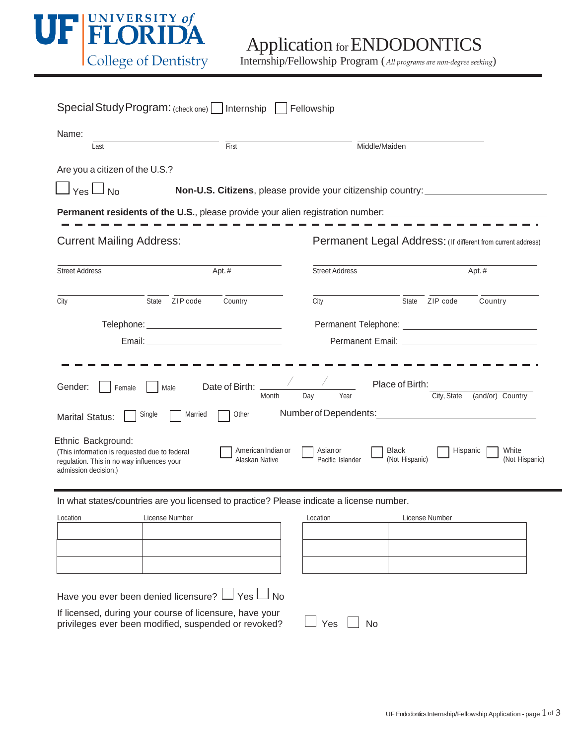

Application for ENDODONTICS

| Special Study Program: (check one)     Internship<br>Fellowship                                                                                                                                                                                                                                                                                                                                                                                                                                          |                                                             |                                                              |                   |         |
|----------------------------------------------------------------------------------------------------------------------------------------------------------------------------------------------------------------------------------------------------------------------------------------------------------------------------------------------------------------------------------------------------------------------------------------------------------------------------------------------------------|-------------------------------------------------------------|--------------------------------------------------------------|-------------------|---------|
| Name:<br>Last                                                                                                                                                                                                                                                                                                                                                                                                                                                                                            | First                                                       | Middle/Maiden                                                |                   |         |
| Are you a citizen of the U.S.?<br>$\vert$ Yes $\Box$ No                                                                                                                                                                                                                                                                                                                                                                                                                                                  | Non-U.S. Citizens, please provide your citizenship country: |                                                              |                   |         |
| <b>Permanent residents of the U.S.</b> , please provide your alien registration number: ______________________________                                                                                                                                                                                                                                                                                                                                                                                   |                                                             |                                                              |                   |         |
| <b>Current Mailing Address:</b>                                                                                                                                                                                                                                                                                                                                                                                                                                                                          |                                                             | Permanent Legal Address: (If different from current address) |                   |         |
| <b>Street Address</b>                                                                                                                                                                                                                                                                                                                                                                                                                                                                                    | Apt.#                                                       | <b>Street Address</b>                                        |                   | Apt.#   |
| City<br>State ZIP code                                                                                                                                                                                                                                                                                                                                                                                                                                                                                   | Country                                                     | City                                                         | ZIP code<br>State | Country |
|                                                                                                                                                                                                                                                                                                                                                                                                                                                                                                          |                                                             |                                                              |                   |         |
|                                                                                                                                                                                                                                                                                                                                                                                                                                                                                                          |                                                             |                                                              |                   |         |
| Place of Birth:<br>Date of Birth:<br>Gender:<br>Female<br>Male<br>City, State<br>Day<br>Year<br>(and/or) Country<br>Month<br>Number of Dependents:<br>Other<br>Single<br>Married<br><b>Marital Status:</b><br>Ethnic Background:<br>White<br>American Indian or<br><b>Black</b><br>Hispanic<br>Asian or<br>(This information is requested due to federal<br>Alaskan Native<br>Pacific Islander<br>(Not Hispanic)<br>(Not Hispanic)<br>regulation. This in no way influences your<br>admission decision.) |                                                             |                                                              |                   |         |
| In what states/countries are you licensed to practice? Please indicate a license number.<br>Location                                                                                                                                                                                                                                                                                                                                                                                                     | License Number <b>Example 20</b>                            | Location                                                     | License Number    |         |
| Have you ever been denied licensure? LJ Yes LJ No<br>If licensed, during your course of licensure, have your<br>privileges ever been modified, suspended or revoked?                                                                                                                                                                                                                                                                                                                                     |                                                             | Yes<br><b>No</b>                                             |                   |         |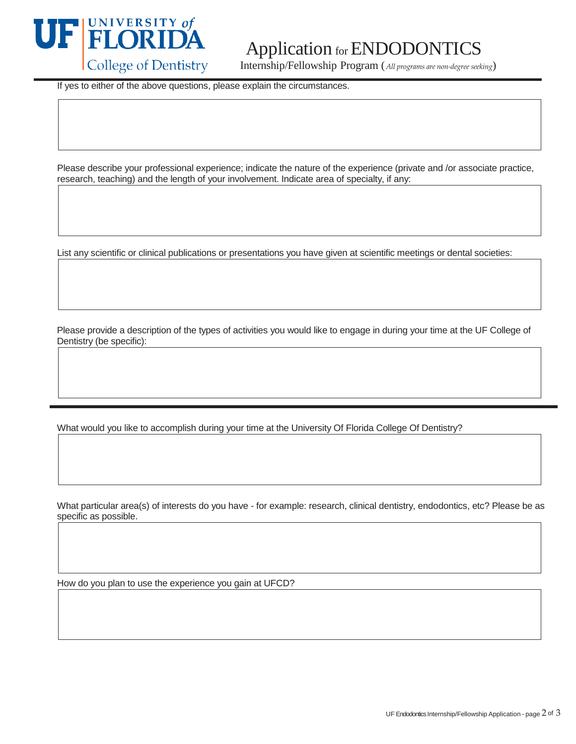

## Application for ENDODONTIC

College of Dentistry Internship/Fellowship Program (*All programs are non-degree seeking*)

If yes to either of the above questions, please explain the circumstances.

Please describe your professional experience; indicate the nature of the experience (private and /or associate practice, research, teaching) and the length of your involvement. Indicate area of specialty, if any:

List any scientific or clinical publications or presentations you have given at scientific meetings or dental societies:

Please provide a description of the types of activities you would like to engage in during your time at the UF College of Dentistry (be specific):

What would you like to accomplish during your time at the University Of Florida College Of Dentistry?

What particular area(s) of interests do you have - for example: research, clinical dentistry, endodontics, etc? Please be as specific as possible.

How do you plan to use the experience you gain at UFCD?